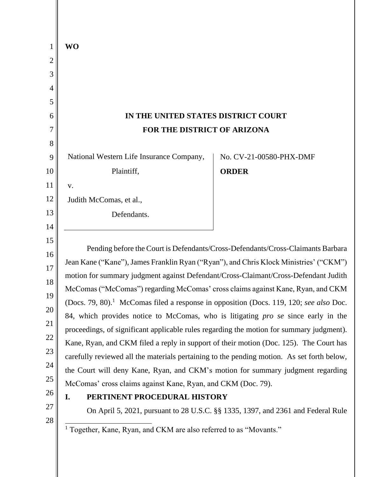| <b>WO</b>                                                                                          |                                                                                  |
|----------------------------------------------------------------------------------------------------|----------------------------------------------------------------------------------|
|                                                                                                    |                                                                                  |
|                                                                                                    |                                                                                  |
|                                                                                                    |                                                                                  |
|                                                                                                    |                                                                                  |
| IN THE UNITED STATES DISTRICT COURT                                                                |                                                                                  |
| FOR THE DISTRICT OF ARIZONA                                                                        |                                                                                  |
|                                                                                                    |                                                                                  |
| National Western Life Insurance Company,                                                           | No. CV-21-00580-PHX-DMF                                                          |
| Plaintiff,                                                                                         | <b>ORDER</b>                                                                     |
| V.                                                                                                 |                                                                                  |
| Judith McComas, et al.,                                                                            |                                                                                  |
| Defendants.                                                                                        |                                                                                  |
|                                                                                                    |                                                                                  |
|                                                                                                    | Pending before the Court is Defendants/Cross-Defendants/Cross-Claimants Barbara  |
| Jean Kane ("Kane"), James Franklin Ryan ("Ryan"), and Chris Klock Ministries' ("CKM")              |                                                                                  |
| motion for summary judgment against Defendant/Cross-Claimant/Cross-Defendant Judith                |                                                                                  |
| McComas ("McComas") regarding McComas' cross claims against Kane, Ryan, and CKM                    |                                                                                  |
| (Docs. 79, 80). <sup>1</sup> McComas filed a response in opposition (Docs. 119, 120; see also Doc. |                                                                                  |
| 84, which provides notice to McComas, who is litigating <i>pro se</i> since early in the           |                                                                                  |
| proceedings, of significant applicable rules regarding the motion for summary judgment).           |                                                                                  |
| Kane, Ryan, and CKM filed a reply in support of their motion (Doc. 125). The Court has             |                                                                                  |
| carefully reviewed all the materials pertaining to the pending motion. As set forth below,         |                                                                                  |
| the Court will deny Kane, Ryan, and CKM's motion for summary judgment regarding                    |                                                                                  |
| McComas' cross claims against Kane, Ryan, and CKM (Doc. 79).                                       |                                                                                  |
| PERTINENT PROCEDURAL HISTORY<br>I.                                                                 |                                                                                  |
|                                                                                                    | On April 5, 2021, pursuant to 28 U.S.C. §§ 1335, 1397, and 2361 and Federal Rule |
| <sup>1</sup> Together, Kane, Ryan, and CKM are also referred to as "Movants."                      |                                                                                  |
|                                                                                                    |                                                                                  |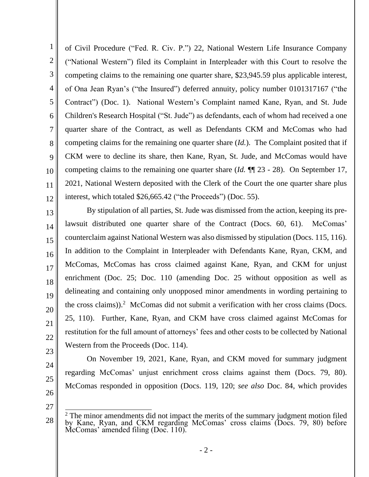1 2 3 4 5 6 7 8 9 10 11 12 of Civil Procedure ("Fed. R. Civ. P.") 22, National Western Life Insurance Company ("National Western") filed its Complaint in Interpleader with this Court to resolve the competing claims to the remaining one quarter share, \$23,945.59 plus applicable interest, of Ona Jean Ryan's ("the Insured") deferred annuity, policy number 0101317167 ("the Contract") (Doc. 1). National Western's Complaint named Kane, Ryan, and St. Jude Children's Research Hospital ("St. Jude") as defendants, each of whom had received a one quarter share of the Contract, as well as Defendants CKM and McComas who had competing claims for the remaining one quarter share (*Id.*). The Complaint posited that if CKM were to decline its share, then Kane, Ryan, St. Jude, and McComas would have competing claims to the remaining one quarter share (*Id.* ¶¶ 23 - 28). On September 17, 2021, National Western deposited with the Clerk of the Court the one quarter share plus interest, which totaled \$26,665.42 ("the Proceeds") (Doc. 55).

13 14 15 16 17 18 19 20 22 By stipulation of all parties, St. Jude was dismissed from the action, keeping its prelawsuit distributed one quarter share of the Contract (Docs. 60, 61). McComas' counterclaim against National Western was also dismissed by stipulation (Docs. 115, 116). In addition to the Complaint in Interpleader with Defendants Kane, Ryan, CKM, and McComas, McComas has cross claimed against Kane, Ryan, and CKM for unjust enrichment (Doc. 25; Doc. 110 (amending Doc. 25 without opposition as well as delineating and containing only unopposed minor amendments in wording pertaining to the cross claims)). 2 McComas did not submit a verification with her cross claims (Docs. 25, 110). Further, Kane, Ryan, and CKM have cross claimed against McComas for restitution for the full amount of attorneys' fees and other costs to be collected by National Western from the Proceeds (Doc. 114).

23

21

- 24
- 25
- 26 27

28

On November 19, 2021, Kane, Ryan, and CKM moved for summary judgment

regarding McComas' unjust enrichment cross claims against them (Docs. 79, 80).

McComas responded in opposition (Docs. 119, 120; *see also* Doc. 84, which provides

 $2<sup>2</sup>$  The minor amendments did not impact the merits of the summary judgment motion filed by Kane, Ryan, and CKM regarding McComas' cross claims (Docs. 79, 80) before McComas' amended filing (Doc. 110).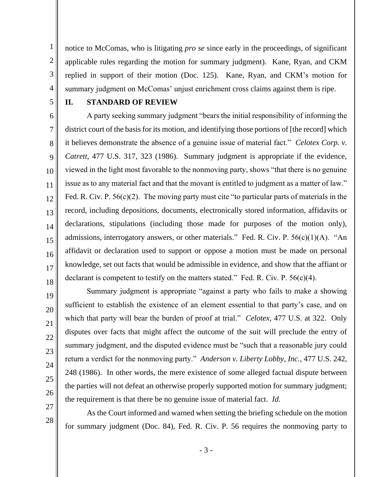notice to McComas, who is litigating *pro se* since early in the proceedings, of significant applicable rules regarding the motion for summary judgment). Kane, Ryan, and CKM replied in support of their motion (Doc. 125). Kane, Ryan, and CKM's motion for summary judgment on McComas' unjust enrichment cross claims against them is ripe.

5

14

15

17

19

20

21

22

23

24

25

26

27

28

1

2

3

4

#### **II. STANDARD OF REVIEW**

6 7 8 9 10 11 12 13 16 18 A party seeking summary judgment "bears the initial responsibility of informing the district court of the basis for its motion, and identifying those portions of [the record] which it believes demonstrate the absence of a genuine issue of material fact." *Celotex Corp. v. Catrett*, 477 U.S. 317, 323 (1986). Summary judgment is appropriate if the evidence, viewed in the light most favorable to the nonmoving party, shows "that there is no genuine issue as to any material fact and that the movant is entitled to judgment as a matter of law." Fed. R. Civ. P. 56(c)(2). The moving party must cite "to particular parts of materials in the record, including depositions, documents, electronically stored information, affidavits or declarations, stipulations (including those made for purposes of the motion only), admissions, interrogatory answers, or other materials." Fed. R. Civ. P.  $56(c)(1)(A)$ . "An affidavit or declaration used to support or oppose a motion must be made on personal knowledge, set out facts that would be admissible in evidence, and show that the affiant or declarant is competent to testify on the matters stated." Fed. R. Civ. P.  $56(c)(4)$ .

Summary judgment is appropriate "against a party who fails to make a showing sufficient to establish the existence of an element essential to that party's case, and on which that party will bear the burden of proof at trial." *Celotex*, 477 U.S. at 322. Only disputes over facts that might affect the outcome of the suit will preclude the entry of summary judgment, and the disputed evidence must be "such that a reasonable jury could return a verdict for the nonmoving party." *Anderson v. Liberty Lobby, Inc.*, 477 U.S. 242, 248 (1986). In other words, the mere existence of some alleged factual dispute between the parties will not defeat an otherwise properly supported motion for summary judgment; the requirement is that there be no genuine issue of material fact. *Id.*

As the Court informed and warned when setting the briefing schedule on the motion for summary judgment (Doc. 84), Fed. R. Civ. P. 56 requires the nonmoving party to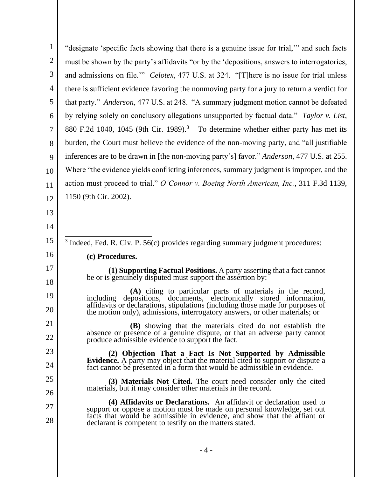| $\mathbf{1}$   | "designate 'specific facts showing that there is a genuine issue for trial," and such facts                                                                     |  |
|----------------|-----------------------------------------------------------------------------------------------------------------------------------------------------------------|--|
| $\overline{2}$ | must be shown by the party's affidavits "or by the 'depositions, answers to interrogatories,                                                                    |  |
| 3              | and admissions on file." Celotex, 477 U.S. at 324. "[T]here is no issue for trial unless                                                                        |  |
| 4              | there is sufficient evidence favoring the nonmoving party for a jury to return a verdict for                                                                    |  |
| 5              | that party." Anderson, 477 U.S. at 248. "A summary judgment motion cannot be defeated                                                                           |  |
| 6              | by relying solely on conclusory allegations unsupported by factual data." Taylor v. List,                                                                       |  |
| $\overline{7}$ | 880 F.2d 1040, 1045 (9th Cir. 1989). <sup>3</sup> To determine whether either party has met its                                                                 |  |
| 8              | burden, the Court must believe the evidence of the non-moving party, and "all justifiable"                                                                      |  |
| 9              | inferences are to be drawn in [the non-moving party's] favor." Anderson, 477 U.S. at 255.                                                                       |  |
| 10             | Where "the evidence yields conflicting inferences, summary judgment is improper, and the                                                                        |  |
| 11             | action must proceed to trial." O'Connor v. Boeing North American, Inc., 311 F.3d 1139,                                                                          |  |
| 12             | 1150 (9th Cir. 2002).                                                                                                                                           |  |
| 13             |                                                                                                                                                                 |  |
| 14             |                                                                                                                                                                 |  |
| 15             | <sup>3</sup> Indeed, Fed. R. Civ. P. 56(c) provides regarding summary judgment procedures:                                                                      |  |
| 16             | (c) Procedures.                                                                                                                                                 |  |
| 17             | (1) Supporting Factual Positions. A party asserting that a fact cannot                                                                                          |  |
| 18             | be or is genuinely disputed must support the assertion by:                                                                                                      |  |
| 19             | (A) citing to particular parts of materials in the record, positions, documents, electronically stored information,<br>depositions.<br>including                |  |
| 20             | affidavits or declarations, stipulations (including those made for purposes of<br>the motion only), admissions, interrogatory answers, or other materials; or   |  |
| 21             | <b>(B)</b> showing that the materials cited do not establish the                                                                                                |  |
| 22             | absence or presence of a genuine dispute, or that an adverse party cannot<br>produce admissible evidence to support the fact.                                   |  |
| 23             | (2) Objection That a Fact Is Not Supported by Admissible                                                                                                        |  |
| 24             | <b>Evidence.</b> A party may object that the material cited to support or dispute a<br>fact cannot be presented in a form that would be admissible in evidence. |  |
| 25             | (3) Materials Not Cited. The court need consider only the cited                                                                                                 |  |
| 26             | materials, but it may consider other materials in the record.                                                                                                   |  |
| 27             | (4) Affidavits or Declarations. An affidavit or declaration used to<br>support or oppose a motion must be made on personal knowledge, set out                   |  |
| 28             | facts that would be admissible in evidence, and show that the affiant or<br>declarant is competent to testify on the matters stated.                            |  |
|                |                                                                                                                                                                 |  |

- 4 -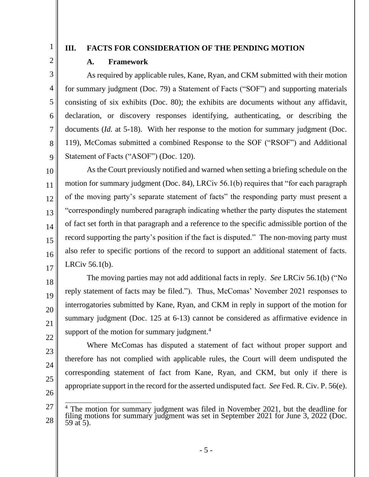2

3

4

5

6

7

8

9

10

11

12

13

14

15

16

17

18

19

20

21

22

23

24

25

26

1

## **III. FACTS FOR CONSIDERATION OF THE PENDING MOTION**

## **A. Framework**

As required by applicable rules, Kane, Ryan, and CKM submitted with their motion for summary judgment (Doc. 79) a Statement of Facts ("SOF") and supporting materials consisting of six exhibits (Doc. 80); the exhibits are documents without any affidavit, declaration, or discovery responses identifying, authenticating, or describing the documents *(Id.* at 5-18). With her response to the motion for summary judgment *(Doc.* 119), McComas submitted a combined Response to the SOF ("RSOF") and Additional Statement of Facts ("ASOF") (Doc. 120).

As the Court previously notified and warned when setting a briefing schedule on the motion for summary judgment (Doc. 84), LRCiv 56.1(b) requires that "for each paragraph of the moving party's separate statement of facts" the responding party must present a "correspondingly numbered paragraph indicating whether the party disputes the statement of fact set forth in that paragraph and a reference to the specific admissible portion of the record supporting the party's position if the fact is disputed." The non-moving party must also refer to specific portions of the record to support an additional statement of facts. LRCiv 56.1(b).

The moving parties may not add additional facts in reply. *See* LRCiv 56.1(b) ("No reply statement of facts may be filed."). Thus, McComas' November 2021 responses to interrogatories submitted by Kane, Ryan, and CKM in reply in support of the motion for summary judgment (Doc. 125 at 6-13) cannot be considered as affirmative evidence in support of the motion for summary judgment. $4$ 

Where McComas has disputed a statement of fact without proper support and therefore has not complied with applicable rules, the Court will deem undisputed the corresponding statement of fact from Kane, Ryan, and CKM, but only if there is appropriate support in the record for the asserted undisputed fact. *See* Fed. R. Civ. P. 56(e).

27 28 <sup>4</sup> The motion for summary judgment was filed in November 2021, but the deadline for filing motions for summary judgment was set in September 2021 for June 3, 2022 (Doc.  $59$  at 5).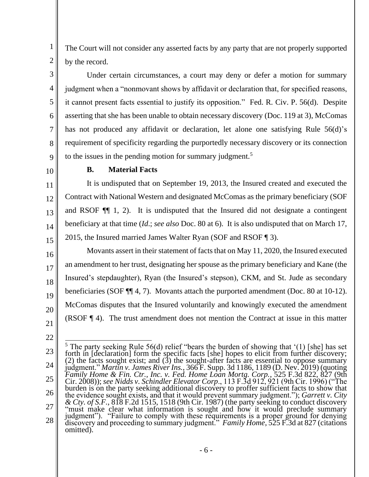The Court will not consider any asserted facts by any party that are not properly supported by the record.

Under certain circumstances, a court may deny or defer a motion for summary judgment when a "nonmovant shows by affidavit or declaration that, for specified reasons, it cannot present facts essential to justify its opposition." Fed. R. Civ. P. 56(d). Despite asserting that she has been unable to obtain necessary discovery (Doc. 119 at 3), McComas has not produced any affidavit or declaration, let alone one satisfying Rule 56(d)'s requirement of specificity regarding the purportedly necessary discovery or its connection to the issues in the pending motion for summary judgment.<sup>5</sup>

9 10

11

12

13

14

15

17

19

20

1

2

3

4

5

6

7

8

### **B. Material Facts**

It is undisputed that on September 19, 2013, the Insured created and executed the Contract with National Western and designated McComas as the primary beneficiary (SOF and RSOF ¶¶ 1, 2). It is undisputed that the Insured did not designate a contingent beneficiary at that time (*Id*.; *see also* Doc. 80 at 6). It is also undisputed that on March 17, 2015, the Insured married James Walter Ryan (SOF and RSOF ¶ 3).

16 18 Movants assert in their statement of facts that on May 11, 2020, the Insured executed an amendment to her trust, designating her spouse as the primary beneficiary and Kane (the Insured's stepdaughter), Ryan (the Insured's stepson), CKM, and St. Jude as secondary beneficiaries (SOF ¶¶ 4, 7). Movants attach the purported amendment (Doc. 80 at 10-12). McComas disputes that the Insured voluntarily and knowingly executed the amendment (RSOF ¶ 4). The trust amendment does not mention the Contract at issue in this matter

21 22

<sup>23</sup> 24 25 26 27 28 <sup>5</sup> The party seeking Rule 56(d) relief "bears the burden of showing that '(1) [she] has set forth in [declaration] form the specific facts [she] hopes to elicit from further discovery; (2) the facts sought exist; and  $(3)$  the sought-after facts are essential to oppose summary judgment." *Martin v. James River Ins.*, 366 F. Supp. 3d 1186, 1189 (D. Nev. 2019) (quoting *Family Home & Fin. Ctr., Inc. v. Fed. Home Loan Mortg. Corp.*, 525 F.3d 822, 827 (9th Cir. 2008)); *see Nidds v. Schindler Elevator Corp*., 113 F.3d 912, 921 (9th Cir. 1996) ("The burden is on the party seeking additional discovery to proffer sufficient facts to show that the evidence sought exists, and that it would prevent summary judgment."); *Garrett v. City*   $\&$  Cty. of S.F., 818 F.2d 1515, 1518 (9th Cir. 1987) (the party seeking to conduct discovery "must make clear what information is sought and how it would preclude summary judgment"). "Failure to comply with these requirements is a proper ground for denying discovery and proceeding to summary judgment." *Family Home*, 525 F.3d at 827 (citations omitted).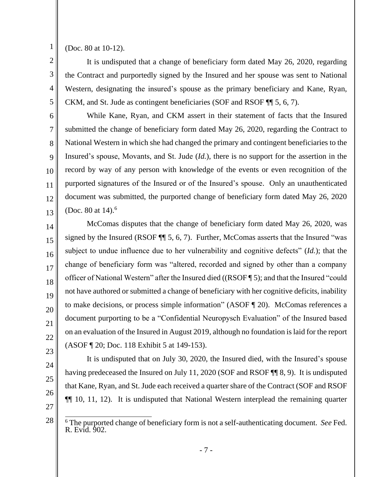1 2

3

4

5

6

7

8

9

10

11

12

13

14

15

16

17

18

19

20

21

22

(Doc. 80 at 10-12).

It is undisputed that a change of beneficiary form dated May 26, 2020, regarding the Contract and purportedly signed by the Insured and her spouse was sent to National Western, designating the insured's spouse as the primary beneficiary and Kane, Ryan, CKM, and St. Jude as contingent beneficiaries (SOF and RSOF ¶¶ 5, 6, 7).

While Kane, Ryan, and CKM assert in their statement of facts that the Insured submitted the change of beneficiary form dated May 26, 2020, regarding the Contract to National Western in which she had changed the primary and contingent beneficiaries to the Insured's spouse, Movants, and St. Jude (*Id.*), there is no support for the assertion in the record by way of any person with knowledge of the events or even recognition of the purported signatures of the Insured or of the Insured's spouse. Only an unauthenticated document was submitted, the purported change of beneficiary form dated May 26, 2020 (Doc. 80 at  $14$ ).<sup>6</sup>

McComas disputes that the change of beneficiary form dated May 26, 2020, was signed by the Insured (RSOF ¶¶ 5, 6, 7). Further, McComas asserts that the Insured "was subject to undue influence due to her vulnerability and cognitive defects" (*Id.*); that the change of beneficiary form was "altered, recorded and signed by other than a company officer of National Western" after the Insured died ((RSOF ¶ 5); and that the Insured "could not have authored or submitted a change of beneficiary with her cognitive deficits, inability to make decisions, or process simple information" (ASOF ¶ 20). McComas references a document purporting to be a "Confidential Neuropysch Evaluation" of the Insured based on an evaluation of the Insured in August 2019, although no foundation is laid for the report (ASOF ¶ 20; Doc. 118 Exhibit 5 at 149-153).

- 23 24
- 25
- 26
- 27

28

It is undisputed that on July 30, 2020, the Insured died, with the Insured's spouse

having predeceased the Insured on July 11, 2020 (SOF and RSOF  $\P$  8, 9). It is undisputed

that Kane, Ryan, and St. Jude each received a quarter share of the Contract (SOF and RSOF

¶¶ 10, 11, 12). It is undisputed that National Western interplead the remaining quarter

<sup>6</sup> The purported change of beneficiary form is not a self-authenticating document. *See* Fed. R. Evid. 902.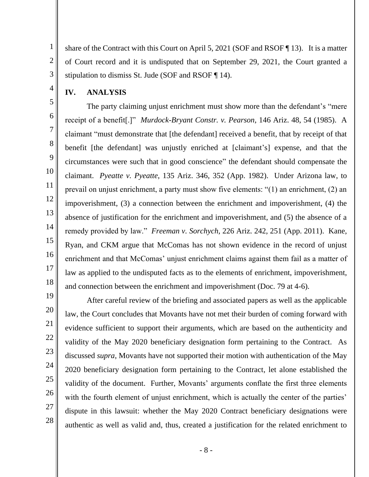share of the Contract with this Court on April 5, 2021 (SOF and RSOF ¶ 13). It is a matter of Court record and it is undisputed that on September 29, 2021, the Court granted a stipulation to dismiss St. Jude (SOF and RSOF ¶ 14).

#### **IV. ANALYSIS**

1

2

3

4

5

6

7

8

9

10

11

12

13

14

15

16

17

18

The party claiming unjust enrichment must show more than the defendant's "mere receipt of a benefit[.]" *Murdock-Bryant Constr. v. Pearson*, 146 Ariz. 48, 54 (1985). A claimant "must demonstrate that [the defendant] received a benefit, that by receipt of that benefit [the defendant] was unjustly enriched at [claimant's] expense, and that the circumstances were such that in good conscience" the defendant should compensate the claimant. *Pyeatte v. Pyeatte*, 135 Ariz. 346, 352 (App. 1982). Under Arizona law, to prevail on unjust enrichment, a party must show five elements: "(1) an enrichment, (2) an impoverishment, (3) a connection between the enrichment and impoverishment, (4) the absence of justification for the enrichment and impoverishment, and (5) the absence of a remedy provided by law." *Freeman v. Sorchych*, 226 Ariz. 242, 251 (App. 2011). Kane, Ryan, and CKM argue that McComas has not shown evidence in the record of unjust enrichment and that McComas' unjust enrichment claims against them fail as a matter of law as applied to the undisputed facts as to the elements of enrichment, impoverishment, and connection between the enrichment and impoverishment (Doc. 79 at 4-6).

After careful review of the briefing and associated papers as well as the applicable law, the Court concludes that Movants have not met their burden of coming forward with evidence sufficient to support their arguments, which are based on the authenticity and validity of the May 2020 beneficiary designation form pertaining to the Contract. As discussed *supra*, Movants have not supported their motion with authentication of the May 2020 beneficiary designation form pertaining to the Contract, let alone established the validity of the document. Further, Movants' arguments conflate the first three elements with the fourth element of unjust enrichment, which is actually the center of the parties' dispute in this lawsuit: whether the May 2020 Contract beneficiary designations were authentic as well as valid and, thus, created a justification for the related enrichment to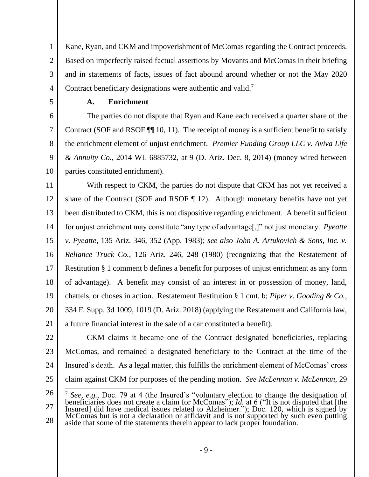1 2 3 4 Kane, Ryan, and CKM and impoverishment of McComas regarding the Contract proceeds. Based on imperfectly raised factual assertions by Movants and McComas in their briefing and in statements of facts, issues of fact abound around whether or not the May 2020 Contract beneficiary designations were authentic and valid.<sup>7</sup>

5

6

7

8

9

10

# **A. Enrichment**

The parties do not dispute that Ryan and Kane each received a quarter share of the Contract (SOF and RSOF ¶¶ 10, 11). The receipt of money is a sufficient benefit to satisfy the enrichment element of unjust enrichment. *Premier Funding Group LLC v. Aviva Life & Annuity Co.*, 2014 WL 6885732, at 9 (D. Ariz. Dec. 8, 2014) (money wired between parties constituted enrichment).

11 12 13 14 15 16 17 18 19 20 21 With respect to CKM, the parties do not dispute that CKM has not yet received a share of the Contract (SOF and RSOF  $\P$  12). Although monetary benefits have not yet been distributed to CKM, this is not dispositive regarding enrichment. A benefit sufficient for unjust enrichment may constitute "any type of advantage[,]" not just monetary. *Pyeatte v. Pyeatte*, 135 Ariz. 346, 352 (App. 1983); *see also John A. Artukovich & Sons, Inc. v. Reliance Truck Co.*, 126 Ariz. 246, 248 (1980) (recognizing that the Restatement of Restitution § 1 comment b defines a benefit for purposes of unjust enrichment as any form of advantage). A benefit may consist of an interest in or possession of money, land, chattels, or choses in action. Restatement Restitution § 1 cmt. b; *Piper v. Gooding & Co.*, 334 F. Supp. 3d 1009, 1019 (D. Ariz. 2018) (applying the Restatement and California law, a future financial interest in the sale of a car constituted a benefit).

22

23 24 25 CKM claims it became one of the Contract designated beneficiaries, replacing McComas, and remained a designated beneficiary to the Contract at the time of the Insured's death. As a legal matter, this fulfills the enrichment element of McComas' cross claim against CKM for purposes of the pending motion. *See McLennan v. McLennan*, 29

26 27 28 <sup>7</sup> *See, e.g.*, Doc. 79 at 4 (the Insured's "voluntary election to change the designation of beneficiaries does not create a claim for McComas"); *Id.* at 6 ("It is not disputed that [the Insured] did have medical issues related to Alzheimer."); Doc. 120, which is signed by McComas but is not a declaration or affidavit and is not supported by such even putting aside that some of the statements therein appear to lack proper foundation.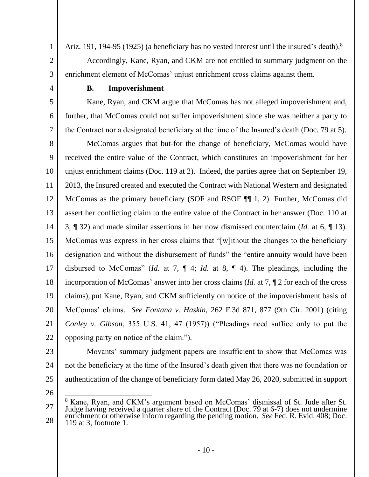Ariz. 191, 194-95 (1925) (a beneficiary has no vested interest until the insured's death).<sup>8</sup> Accordingly, Kane, Ryan, and CKM are not entitled to summary judgment on the enrichment element of McComas' unjust enrichment cross claims against them.

4

1

2

3

5

6

7

## **B. Impoverishment**

Kane, Ryan, and CKM argue that McComas has not alleged impoverishment and, further, that McComas could not suffer impoverishment since she was neither a party to the Contract nor a designated beneficiary at the time of the Insured's death (Doc. 79 at 5).

8 9 10 11 12 13 14 15 16 17 18 19 20 21 22 McComas argues that but-for the change of beneficiary, McComas would have received the entire value of the Contract, which constitutes an impoverishment for her unjust enrichment claims (Doc. 119 at 2). Indeed, the parties agree that on September 19, 2013, the Insured created and executed the Contract with National Western and designated McComas as the primary beneficiary (SOF and RSOF  $\P$ ], 2). Further, McComas did assert her conflicting claim to the entire value of the Contract in her answer (Doc. 110 at 3, ¶ 32) and made similar assertions in her now dismissed counterclaim (*Id.* at 6, ¶ 13). McComas was express in her cross claims that "[w]ithout the changes to the beneficiary designation and without the disbursement of funds" the "entire annuity would have been disbursed to McComas" (*Id.* at 7, ¶ 4; *Id.* at 8, ¶ 4). The pleadings, including the incorporation of McComas' answer into her cross claims (*Id.* at 7, ¶ 2 for each of the cross claims), put Kane, Ryan, and CKM sufficiently on notice of the impoverishment basis of McComas' claims. *See Fontana v. Haskin*, 262 F.3d 871, 877 (9th Cir. 2001) (citing *Conley v. Gibson*, 355 U.S. 41, 47 (1957)) ("Pleadings need suffice only to put the opposing party on notice of the claim.").

23

24 25 Movants' summary judgment papers are insufficient to show that McComas was not the beneficiary at the time of the Insured's death given that there was no foundation or authentication of the change of beneficiary form dated May 26, 2020, submitted in support

26

<sup>27</sup> 28 <sup>8</sup> Kane, Ryan, and CKM's argument based on McComas' dismissal of St. Jude after St. Judge having received a quarter share of the Contract (Doc. 79 at 6-7) does not undermine enrichment or otherwise inform regarding the pending motion. *See* Fed. R. Evid. 408; Doc. 119 at 3, footnote 1.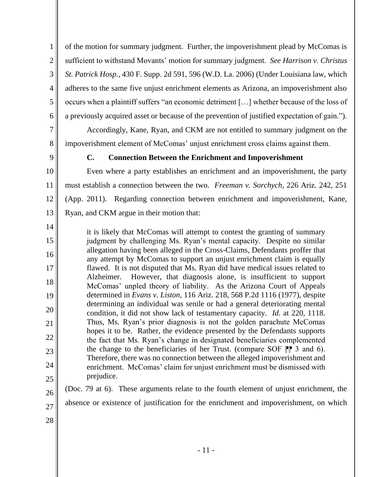of the motion for summary judgment. Further, the impoverishment plead by McComas is sufficient to withstand Movants' motion for summary judgment. *See Harrison v. Christus St. Patrick Hosp.*, 430 F. Supp. 2d 591, 596 (W.D. La. 2006) (Under Louisiana law, which adheres to the same five unjust enrichment elements as Arizona, an impoverishment also occurs when a plaintiff suffers "an economic detriment […] whether because of the loss of a previously acquired asset or because of the prevention of justified expectation of gain.").

Accordingly, Kane, Ryan, and CKM are not entitled to summary judgment on the impoverishment element of McComas' unjust enrichment cross claims against them.

9

1

2

3

4

5

6

7

8

### **C. Connection Between the Enrichment and Impoverishment**

10 11 12 13 Even where a party establishes an enrichment and an impoverishment, the party must establish a connection between the two. *Freeman v. Sorchych*, 226 Ariz. 242, 251 (App. 2011). Regarding connection between enrichment and impoverishment, Kane, Ryan, and CKM argue in their motion that:

14 15 16 17 18 19 20 21 22 23 24 25 it is likely that McComas will attempt to contest the granting of summary judgment by challenging Ms. Ryan's mental capacity. Despite no similar allegation having been alleged in the Cross-Claims, Defendants proffer that any attempt by McComas to support an unjust enrichment claim is equally flawed. It is not disputed that Ms. Ryan did have medical issues related to Alzheimer. However, that diagnosis alone, is insufficient to support McComas' unpled theory of liability. As the Arizona Court of Appeals determined in *Evans v. Liston*, 116 Ariz. 218, 568 P.2d 1116 (1977), despite determining an individual was senile or had a general deteriorating mental condition, it did not show lack of testamentary capacity. *Id.* at 220, 1118. Thus, Ms. Ryan's prior diagnosis is not the golden parachute McComas hopes it to be. Rather, the evidence presented by the Defendants supports the fact that Ms. Ryan's change in designated beneficiaries complemented the change to the beneficiaries of her Trust. (compare SOF  $\mathbb{P}$  3 and 6). Therefore, there was no connection between the alleged impoverishment and enrichment. McComas' claim for unjust enrichment must be dismissed with prejudice.

(Doc. 79 at 6). These arguments relate to the fourth element of unjust enrichment, the absence or existence of justification for the enrichment and impoverishment, on which

28

26

27